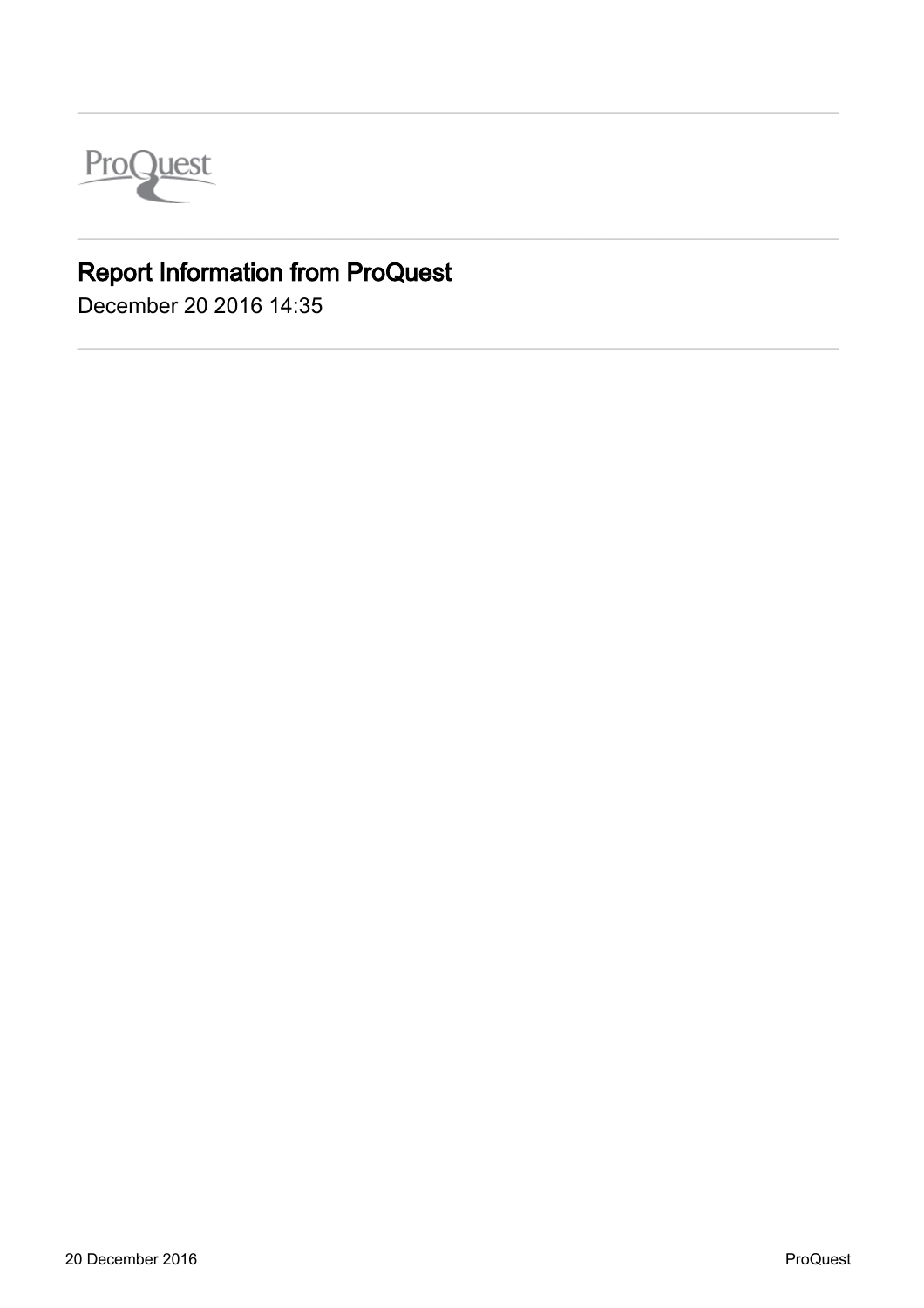

# **Report Information from ProQuest**

December 20 2016 14:35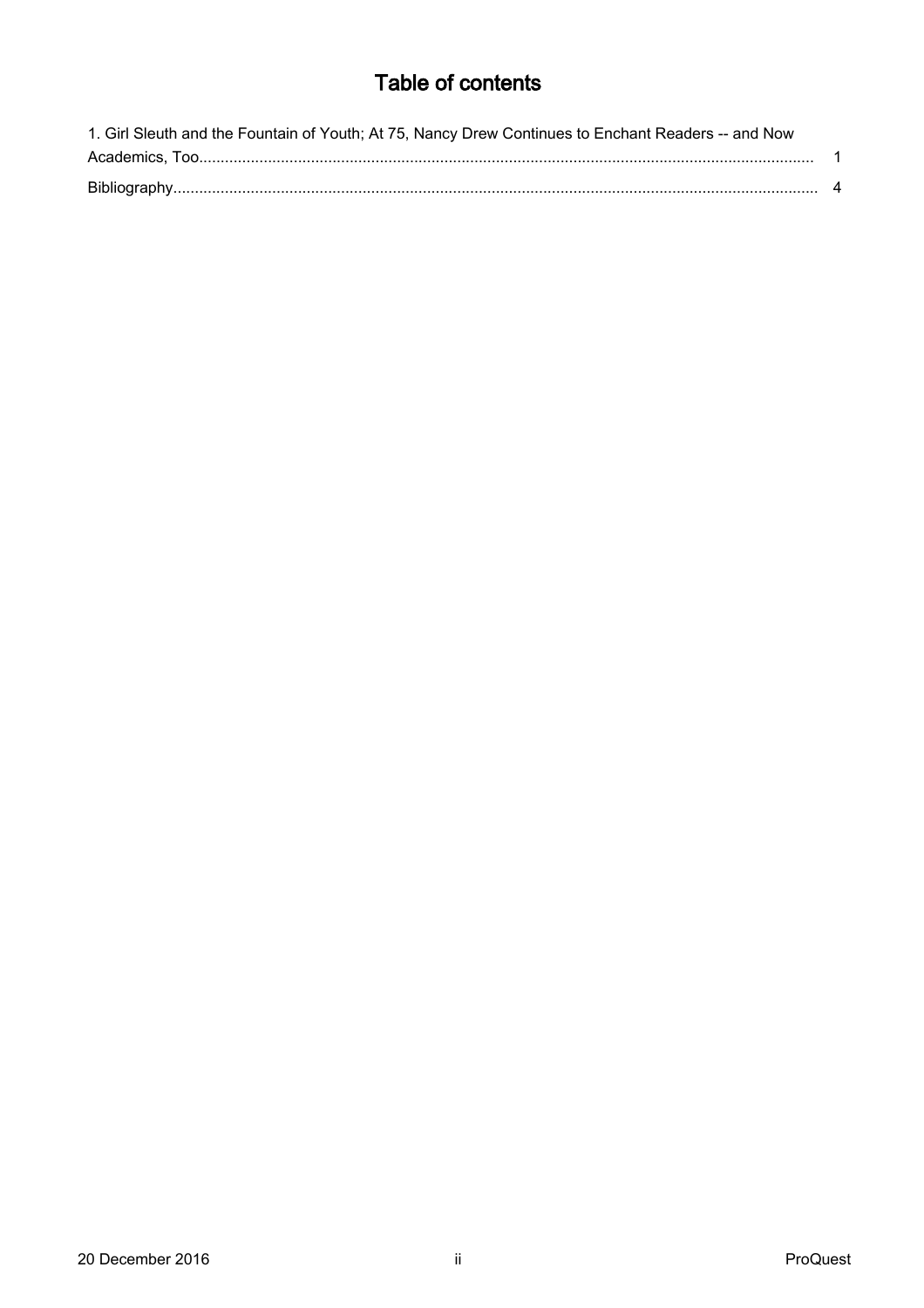# Table of contents

| 1. Girl Sleuth and the Fountain of Youth; At 75, Nancy Drew Continues to Enchant Readers -- and Now |  |
|-----------------------------------------------------------------------------------------------------|--|
|                                                                                                     |  |
|                                                                                                     |  |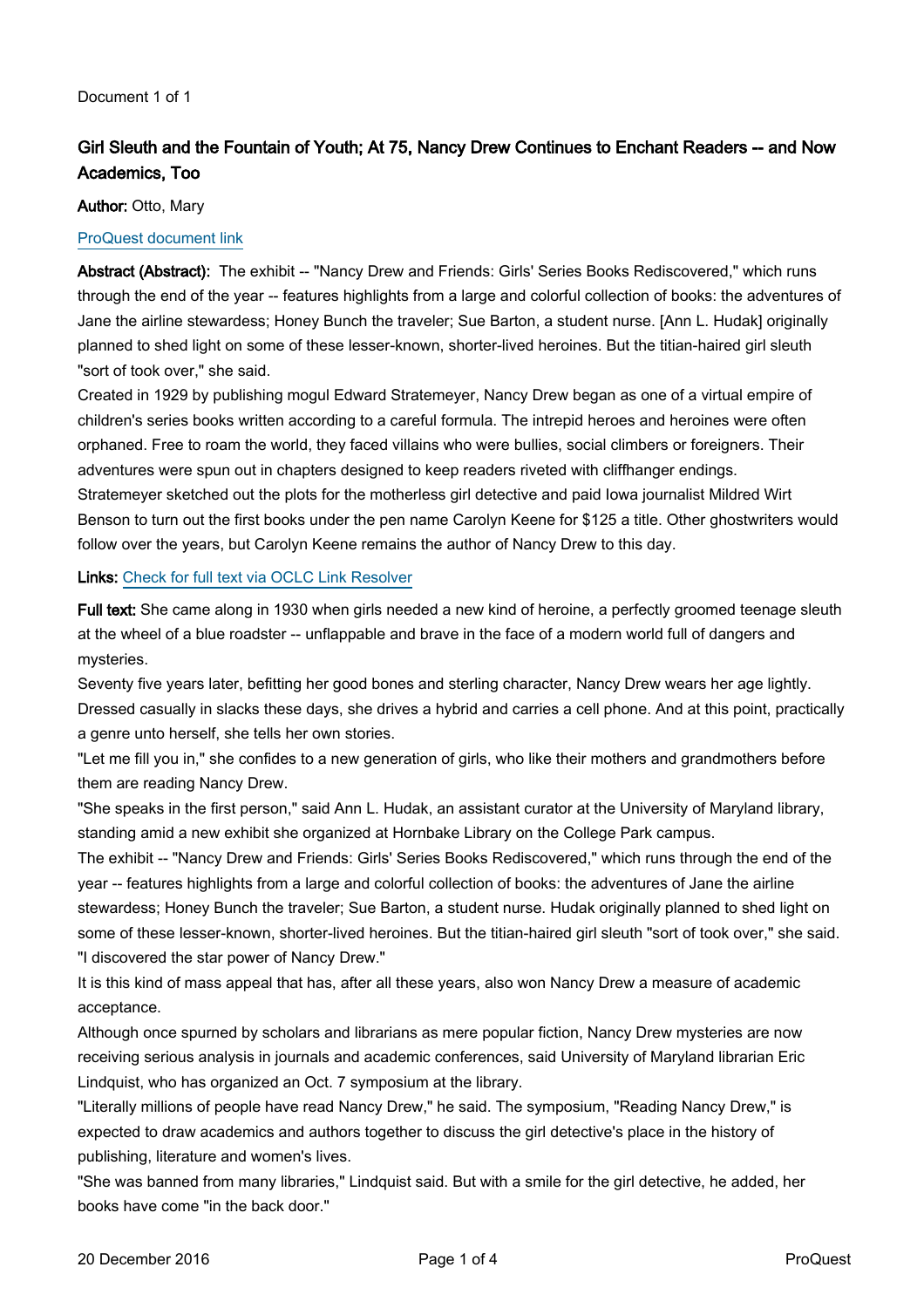#### <span id="page-2-0"></span>Document 1 of 1

## Girl Sleuth and the Fountain of Youth; At 75, Nancy Drew Continues to Enchant Readers -- and Now Academics, Too

Author: Otto, Mary

#### [ProQuest document link](http://search.proquest.com/docview/409875870?accountid=14696)

Abstract (Abstract): The exhibit -- "Nancy Drew and Friends: Girls' Series Books Rediscovered," which runs through the end of the year -- features highlights from a large and colorful collection of books: the adventures of Jane the airline stewardess; Honey Bunch the traveler; Sue Barton, a student nurse. [Ann L. Hudak] originally planned to shed light on some of these lesser-known, shorter-lived heroines. But the titian-haired girl sleuth "sort of took over," she said.

Created in 1929 by publishing mogul Edward Stratemeyer, Nancy Drew began as one of a virtual empire of children's series books written according to a careful formula. The intrepid heroes and heroines were often orphaned. Free to roam the world, they faced villains who were bullies, social climbers or foreigners. Their adventures were spun out in chapters designed to keep readers riveted with cliffhanger endings. Stratemeyer sketched out the plots for the motherless girl detective and paid Iowa journalist Mildred Wirt Benson to turn out the first books under the pen name Carolyn Keene for \$125 a title. Other ghostwriters would follow over the years, but Carolyn Keene remains the author of Nancy Drew to this day.

#### Links: [Check for full text via OCLC Link Resolver](https://umaryland.on.worldcat.org/atoztitles/link?sid=ProQ:&issn=01908286&volume=&issue=&title=The%20Washington%20Post&spage=B.03&date=2005-09-22&atitle=Girl%20Sleuth%20and%20the%20Fountain%20of%20Youth;%20At%2075,%20Nancy%20Drew%20Continues%20to%20Enchant%20Readers%20--%20and%20Now%20Academics,%20Too&au=Otto,%20Mary&id=doi:)

Full text: She came along in 1930 when girls needed a new kind of heroine, a perfectly groomed teenage sleuth at the wheel of a blue roadster -- unflappable and brave in the face of a modern world full of dangers and mysteries.

Seventy five years later, befitting her good bones and sterling character, Nancy Drew wears her age lightly. Dressed casually in slacks these days, she drives a hybrid and carries a cell phone. And at this point, practically a genre unto herself, she tells her own stories.

"Let me fill you in," she confides to a new generation of girls, who like their mothers and grandmothers before them are reading Nancy Drew.

"She speaks in the first person," said Ann L. Hudak, an assistant curator at the University of Maryland library, standing amid a new exhibit she organized at Hornbake Library on the College Park campus.

The exhibit -- "Nancy Drew and Friends: Girls' Series Books Rediscovered," which runs through the end of the year -- features highlights from a large and colorful collection of books: the adventures of Jane the airline stewardess; Honey Bunch the traveler; Sue Barton, a student nurse. Hudak originally planned to shed light on some of these lesser-known, shorter-lived heroines. But the titian-haired girl sleuth "sort of took over," she said. "I discovered the star power of Nancy Drew."

It is this kind of mass appeal that has, after all these years, also won Nancy Drew a measure of academic acceptance.

Although once spurned by scholars and librarians as mere popular fiction, Nancy Drew mysteries are now receiving serious analysis in journals and academic conferences, said University of Maryland librarian Eric Lindquist, who has organized an Oct. 7 symposium at the library.

"Literally millions of people have read Nancy Drew," he said. The symposium, "Reading Nancy Drew," is expected to draw academics and authors together to discuss the girl detective's place in the history of publishing, literature and women's lives.

"She was banned from many libraries," Lindquist said. But with a smile for the girl detective, he added, her books have come "in the back door."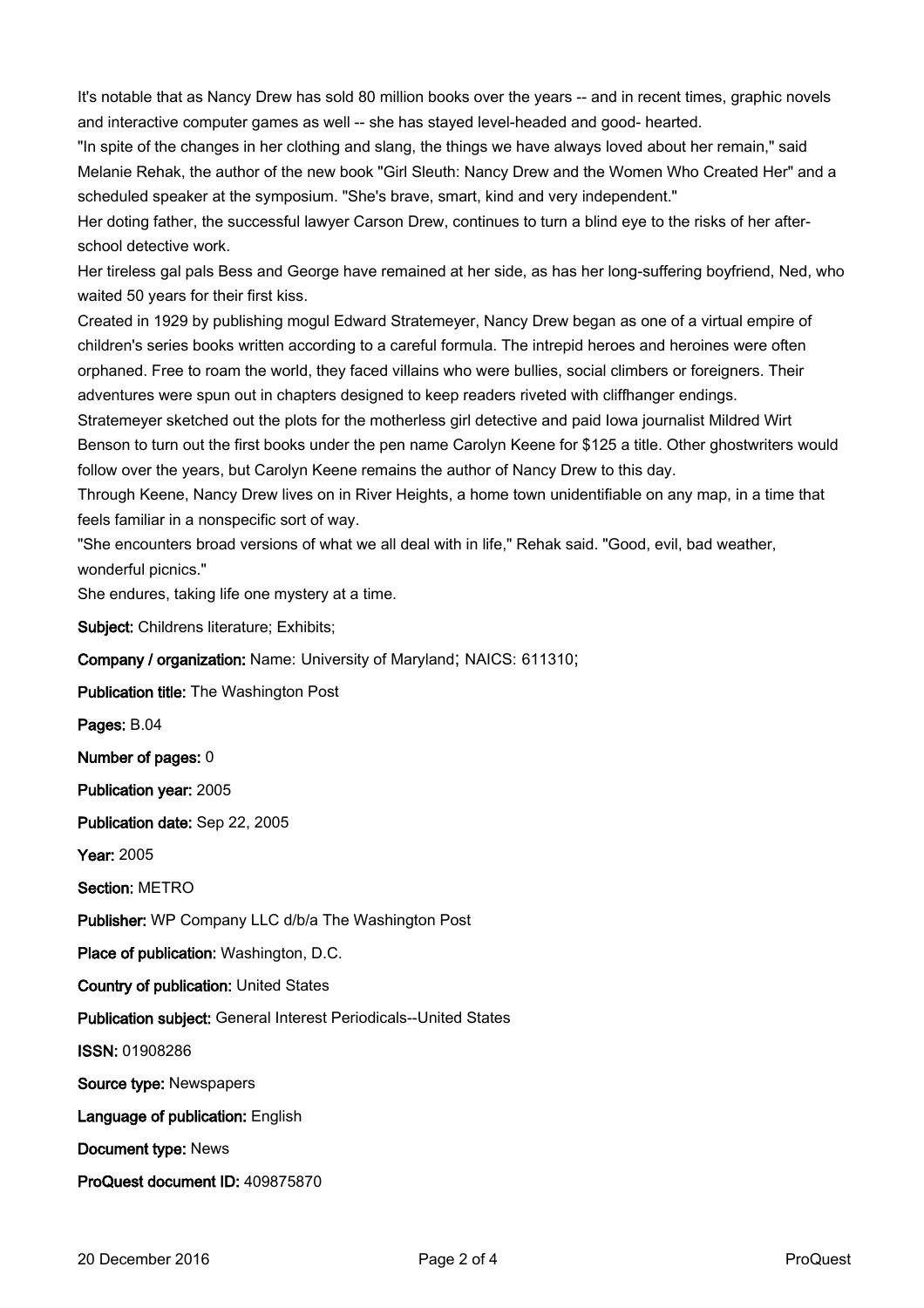It's notable that as Nancy Drew has sold 80 million books over the years -- and in recent times, graphic novels and interactive computer games as well -- she has stayed level-headed and good- hearted.

"In spite of the changes in her clothing and slang, the things we have always loved about her remain," said Melanie Rehak, the author of the new book "Girl Sleuth: Nancy Drew and the Women Who Created Her" and a scheduled speaker at the symposium. "She's brave, smart, kind and very independent."

Her doting father, the successful lawyer Carson Drew, continues to turn a blind eye to the risks of her afterschool detective work.

Her tireless gal pals Bess and George have remained at her side, as has her long-suffering boyfriend, Ned, who waited 50 years for their first kiss.

Created in 1929 by publishing mogul Edward Stratemeyer, Nancy Drew began as one of a virtual empire of children's series books written according to a careful formula. The intrepid heroes and heroines were often orphaned. Free to roam the world, they faced villains who were bullies, social climbers or foreigners. Their adventures were spun out in chapters designed to keep readers riveted with cliffhanger endings.

Stratemeyer sketched out the plots for the motherless girl detective and paid Iowa journalist Mildred Wirt Benson to turn out the first books under the pen name Carolyn Keene for \$125 a title. Other ghostwriters would follow over the years, but Carolyn Keene remains the author of Nancy Drew to this day.

Through Keene, Nancy Drew lives on in River Heights, a home town unidentifiable on any map, in a time that feels familiar in a nonspecific sort of way.

"She encounters broad versions of what we all deal with in life," Rehak said. "Good, evil, bad weather, wonderful picnics."

She endures, taking life one mystery at a time.

Subject: Childrens literature; Exhibits;

Company / organization: Name: University of Maryland; NAICS: 611310;

Publication title: The Washington Post

Pages: B.04

Number of pages: 0

Publication year: 2005

Publication date: Sep 22, 2005

Year: 2005

Section: METRO

Publisher: WP Company LLC d/b/a The Washington Post

Place of publication: Washington, D.C.

Country of publication: United States

Publication subject: General Interest Periodicals--United States

ISSN: 01908286

Source type: Newspapers

Language of publication: English

Document type: News

ProQuest document ID: 409875870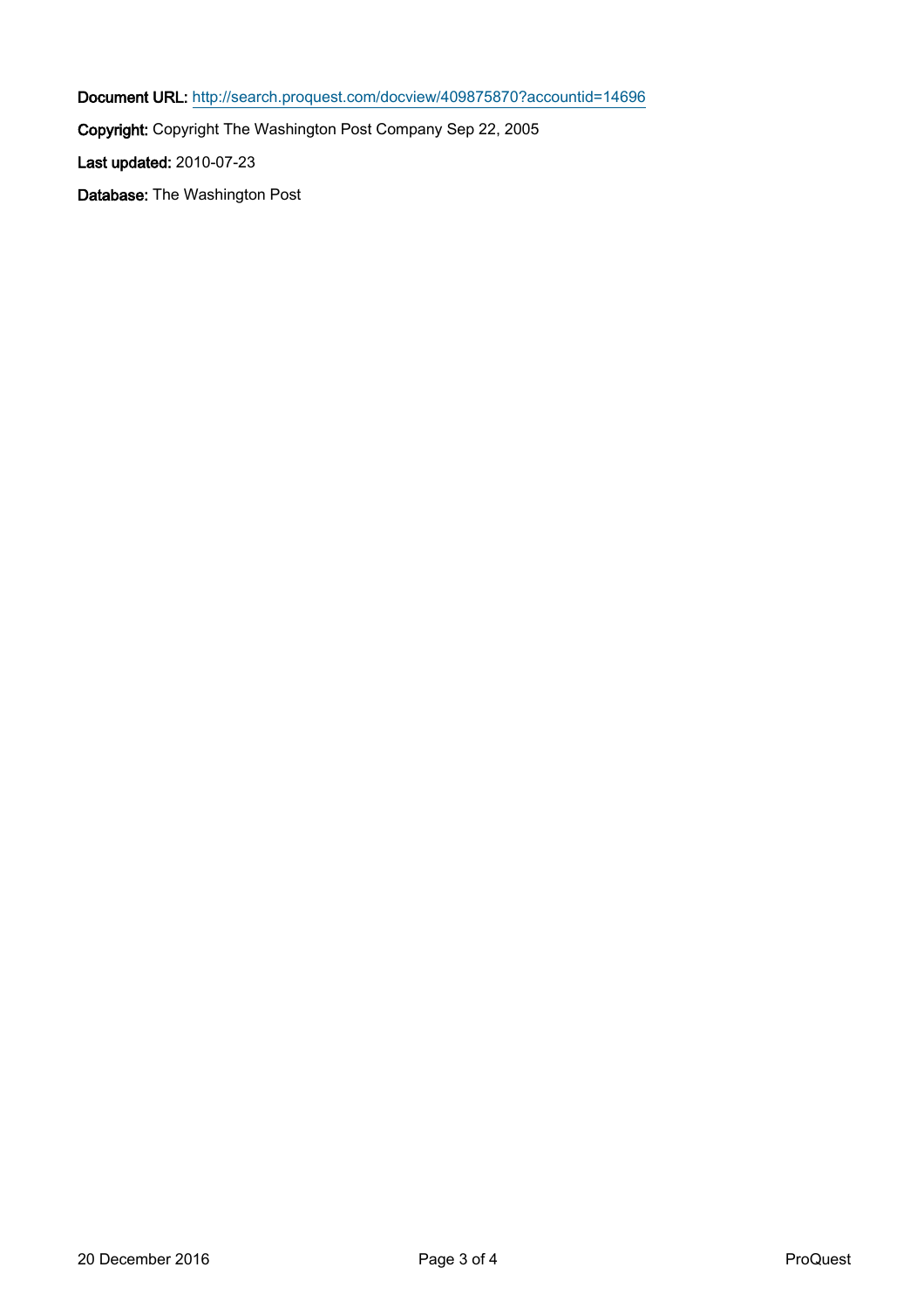Document URL: <http://search.proquest.com/docview/409875870?accountid=14696>

Copyright: Copyright The Washington Post Company Sep 22, 2005

Last updated: 2010-07-23

Database: The Washington Post